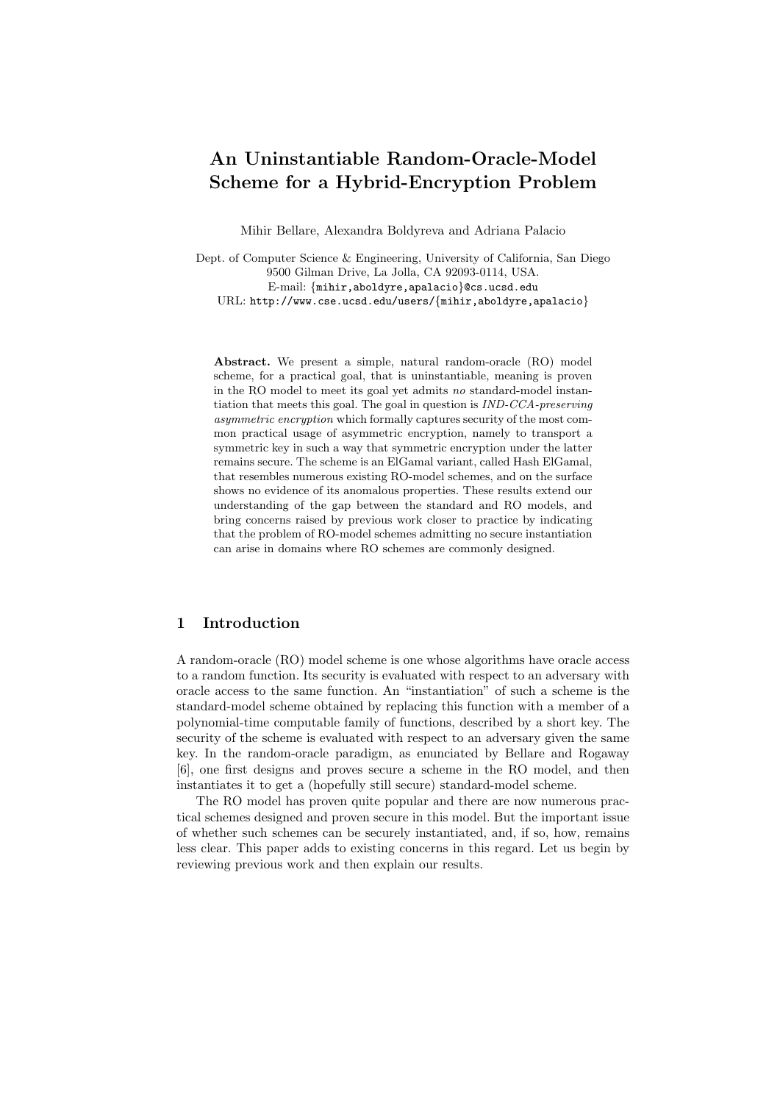# An Uninstantiable Random-Oracle-Model Scheme for a Hybrid-Encryption Problem

Mihir Bellare, Alexandra Boldyreva and Adriana Palacio

Dept. of Computer Science & Engineering, University of California, San Diego 9500 Gilman Drive, La Jolla, CA 92093-0114, USA. E-mail: {mihir,aboldyre,apalacio}@cs.ucsd.edu URL: http://www.cse.ucsd.edu/users/{mihir,aboldyre,apalacio}

Abstract. We present a simple, natural random-oracle (RO) model scheme, for a practical goal, that is uninstantiable, meaning is proven in the RO model to meet its goal yet admits no standard-model instantiation that meets this goal. The goal in question is IND-CCA-preserving asymmetric encryption which formally captures security of the most common practical usage of asymmetric encryption, namely to transport a symmetric key in such a way that symmetric encryption under the latter remains secure. The scheme is an ElGamal variant, called Hash ElGamal, that resembles numerous existing RO-model schemes, and on the surface shows no evidence of its anomalous properties. These results extend our understanding of the gap between the standard and RO models, and bring concerns raised by previous work closer to practice by indicating that the problem of RO-model schemes admitting no secure instantiation can arise in domains where RO schemes are commonly designed.

# 1 Introduction

A random-oracle (RO) model scheme is one whose algorithms have oracle access to a random function. Its security is evaluated with respect to an adversary with oracle access to the same function. An "instantiation" of such a scheme is the standard-model scheme obtained by replacing this function with a member of a polynomial-time computable family of functions, described by a short key. The security of the scheme is evaluated with respect to an adversary given the same key. In the random-oracle paradigm, as enunciated by Bellare and Rogaway [6], one first designs and proves secure a scheme in the RO model, and then instantiates it to get a (hopefully still secure) standard-model scheme.

The RO model has proven quite popular and there are now numerous practical schemes designed and proven secure in this model. But the important issue of whether such schemes can be securely instantiated, and, if so, how, remains less clear. This paper adds to existing concerns in this regard. Let us begin by reviewing previous work and then explain our results.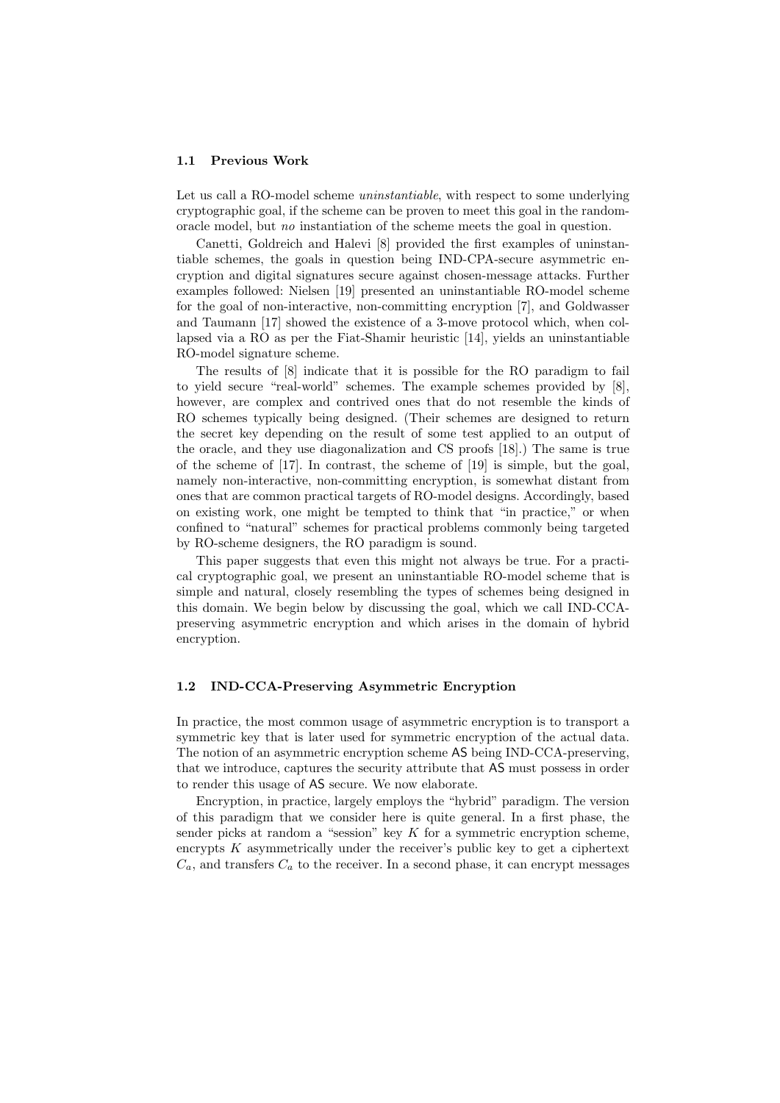#### 1.1 Previous Work

Let us call a RO-model scheme *uninstantiable*, with respect to some underlying cryptographic goal, if the scheme can be proven to meet this goal in the randomoracle model, but no instantiation of the scheme meets the goal in question.

Canetti, Goldreich and Halevi [8] provided the first examples of uninstantiable schemes, the goals in question being IND-CPA-secure asymmetric encryption and digital signatures secure against chosen-message attacks. Further examples followed: Nielsen [19] presented an uninstantiable RO-model scheme for the goal of non-interactive, non-committing encryption [7], and Goldwasser and Taumann [17] showed the existence of a 3-move protocol which, when collapsed via a RO as per the Fiat-Shamir heuristic [14], yields an uninstantiable RO-model signature scheme.

The results of [8] indicate that it is possible for the RO paradigm to fail to yield secure "real-world" schemes. The example schemes provided by [8], however, are complex and contrived ones that do not resemble the kinds of RO schemes typically being designed. (Their schemes are designed to return the secret key depending on the result of some test applied to an output of the oracle, and they use diagonalization and CS proofs [18].) The same is true of the scheme of [17]. In contrast, the scheme of [19] is simple, but the goal, namely non-interactive, non-committing encryption, is somewhat distant from ones that are common practical targets of RO-model designs. Accordingly, based on existing work, one might be tempted to think that "in practice," or when confined to "natural" schemes for practical problems commonly being targeted by RO-scheme designers, the RO paradigm is sound.

This paper suggests that even this might not always be true. For a practical cryptographic goal, we present an uninstantiable RO-model scheme that is simple and natural, closely resembling the types of schemes being designed in this domain. We begin below by discussing the goal, which we call IND-CCApreserving asymmetric encryption and which arises in the domain of hybrid encryption.

### 1.2 IND-CCA-Preserving Asymmetric Encryption

In practice, the most common usage of asymmetric encryption is to transport a symmetric key that is later used for symmetric encryption of the actual data. The notion of an asymmetric encryption scheme AS being IND-CCA-preserving, that we introduce, captures the security attribute that AS must possess in order to render this usage of AS secure. We now elaborate.

Encryption, in practice, largely employs the "hybrid" paradigm. The version of this paradigm that we consider here is quite general. In a first phase, the sender picks at random a "session" key  $K$  for a symmetric encryption scheme, encrypts  $K$  asymmetrically under the receiver's public key to get a ciphertext  $C_a$ , and transfers  $C_a$  to the receiver. In a second phase, it can encrypt messages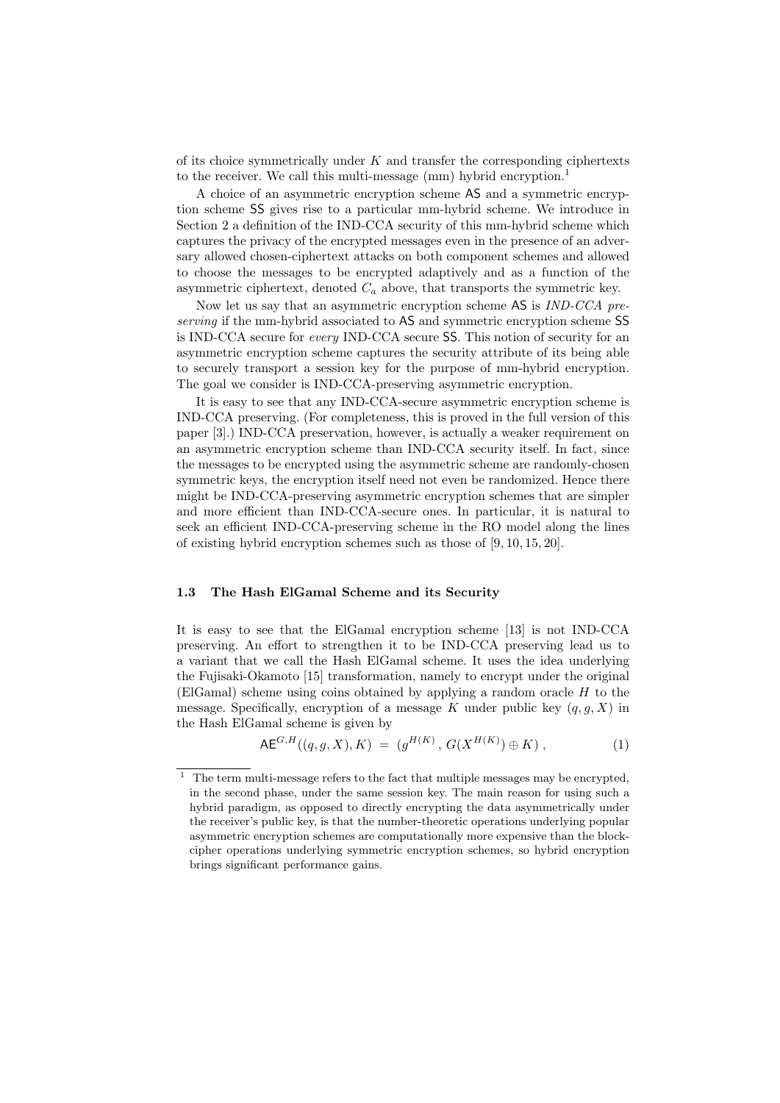of its choice symmetrically under  $K$  and transfer the corresponding ciphertexts to the receiver. We call this multi-message (mm) hybrid encryption.<sup>1</sup>

A choice of an asymmetric encryption scheme AS and a symmetric encryption scheme SS gives rise to a particular mm-hybrid scheme. We introduce in Section 2 a definition of the IND-CCA security of this mm-hybrid scheme which captures the privacy of the encrypted messages even in the presence of an adversary allowed chosen-ciphertext attacks on both component schemes and allowed to choose the messages to be encrypted adaptively and as a function of the asymmetric ciphertext, denoted  $C_a$  above, that transports the symmetric key.

Now let us say that an asymmetric encryption scheme AS is IND-CCA preserving if the mm-hybrid associated to AS and symmetric encryption scheme SS is IND-CCA secure for every IND-CCA secure SS. This notion of security for an asymmetric encryption scheme captures the security attribute of its being able to securely transport a session key for the purpose of mm-hybrid encryption. The goal we consider is IND-CCA-preserving asymmetric encryption.

It is easy to see that any IND-CCA-secure asymmetric encryption scheme is IND-CCA preserving. (For completeness, this is proved in the full version of this paper [3].) IND-CCA preservation, however, is actually a weaker requirement on an asymmetric encryption scheme than IND-CCA security itself. In fact, since the messages to be encrypted using the asymmetric scheme are randomly-chosen symmetric keys, the encryption itself need not even be randomized. Hence there might be IND-CCA-preserving asymmetric encryption schemes that are simpler and more efficient than IND-CCA-secure ones. In particular, it is natural to seek an efficient IND-CCA-preserving scheme in the RO model along the lines of existing hybrid encryption schemes such as those of [9, 10, 15, 20].

### 1.3 The Hash ElGamal Scheme and its Security

It is easy to see that the ElGamal encryption scheme [13] is not IND-CCA preserving. An effort to strengthen it to be IND-CCA preserving lead us to a variant that we call the Hash ElGamal scheme. It uses the idea underlying the Fujisaki-Okamoto [15] transformation, namely to encrypt under the original (ElGamal) scheme using coins obtained by applying a random oracle  $H$  to the message. Specifically, encryption of a message K under public key  $(q, g, X)$  in the Hash ElGamal scheme is given by

$$
AE^{G,H}((q,g,X),K) = (g^{H(K)}, G(X^{H(K)}) \oplus K), \qquad (1)
$$

 $^{\mathrm{1}}\,$  The term multi-message refers to the fact that multiple messages may be encrypted, in the second phase, under the same session key. The main reason for using such a hybrid paradigm, as opposed to directly encrypting the data asymmetrically under the receiver's public key, is that the number-theoretic operations underlying popular asymmetric encryption schemes are computationally more expensive than the blockcipher operations underlying symmetric encryption schemes, so hybrid encryption brings significant performance gains.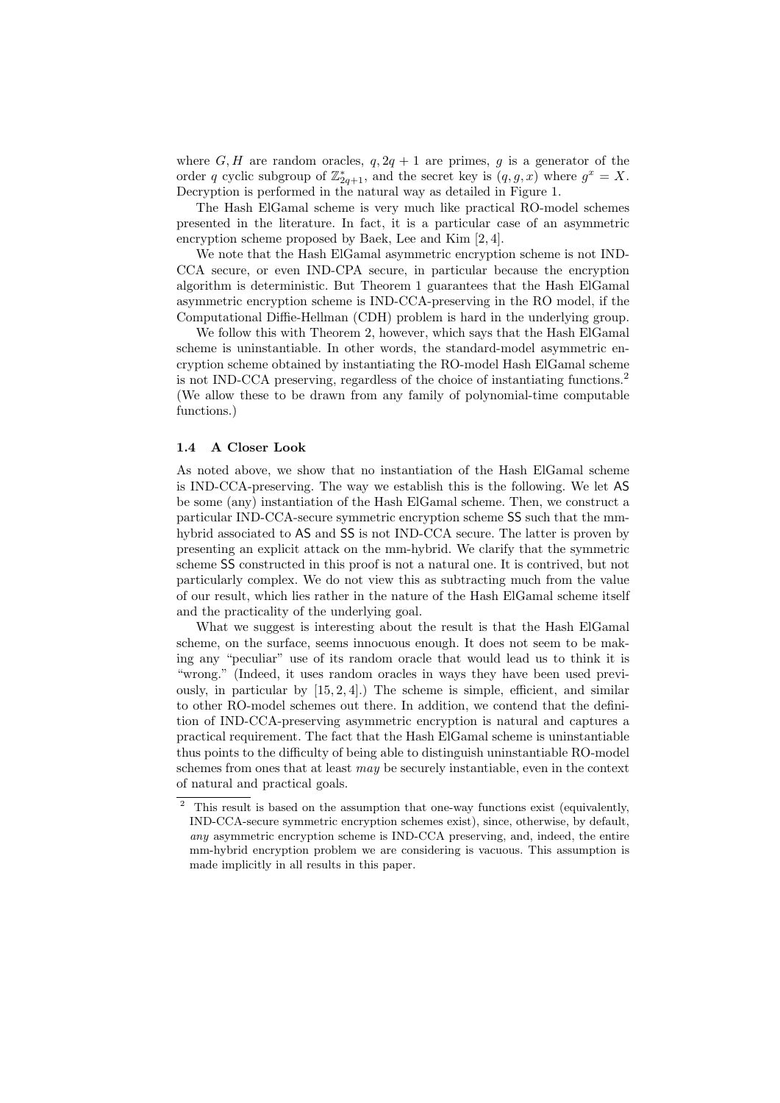where  $G, H$  are random oracles,  $q, 2q + 1$  are primes, g is a generator of the order q cyclic subgroup of  $\mathbb{Z}_{2q+1}^*$ , and the secret key is  $(q, g, x)$  where  $g^x = X$ . Decryption is performed in the natural way as detailed in Figure 1.

The Hash ElGamal scheme is very much like practical RO-model schemes presented in the literature. In fact, it is a particular case of an asymmetric encryption scheme proposed by Baek, Lee and Kim [2, 4].

We note that the Hash ElGamal asymmetric encryption scheme is not IND-CCA secure, or even IND-CPA secure, in particular because the encryption algorithm is deterministic. But Theorem 1 guarantees that the Hash ElGamal asymmetric encryption scheme is IND-CCA-preserving in the RO model, if the Computational Diffie-Hellman (CDH) problem is hard in the underlying group.

We follow this with Theorem 2, however, which says that the Hash ElGamal scheme is uninstantiable. In other words, the standard-model asymmetric encryption scheme obtained by instantiating the RO-model Hash ElGamal scheme is not IND-CCA preserving, regardless of the choice of instantiating functions.<sup>2</sup> (We allow these to be drawn from any family of polynomial-time computable functions.)

#### 1.4 A Closer Look

As noted above, we show that no instantiation of the Hash ElGamal scheme is IND-CCA-preserving. The way we establish this is the following. We let AS be some (any) instantiation of the Hash ElGamal scheme. Then, we construct a particular IND-CCA-secure symmetric encryption scheme SS such that the mmhybrid associated to AS and SS is not IND-CCA secure. The latter is proven by presenting an explicit attack on the mm-hybrid. We clarify that the symmetric scheme SS constructed in this proof is not a natural one. It is contrived, but not particularly complex. We do not view this as subtracting much from the value of our result, which lies rather in the nature of the Hash ElGamal scheme itself and the practicality of the underlying goal.

What we suggest is interesting about the result is that the Hash ElGamal scheme, on the surface, seems innocuous enough. It does not seem to be making any "peculiar" use of its random oracle that would lead us to think it is "wrong." (Indeed, it uses random oracles in ways they have been used previously, in particular by  $[15, 2, 4]$ .) The scheme is simple, efficient, and similar to other RO-model schemes out there. In addition, we contend that the definition of IND-CCA-preserving asymmetric encryption is natural and captures a practical requirement. The fact that the Hash ElGamal scheme is uninstantiable thus points to the difficulty of being able to distinguish uninstantiable RO-model schemes from ones that at least may be securely instantiable, even in the context of natural and practical goals.

<sup>&</sup>lt;sup>2</sup> This result is based on the assumption that one-way functions exist (equivalently, IND-CCA-secure symmetric encryption schemes exist), since, otherwise, by default, any asymmetric encryption scheme is IND-CCA preserving, and, indeed, the entire mm-hybrid encryption problem we are considering is vacuous. This assumption is made implicitly in all results in this paper.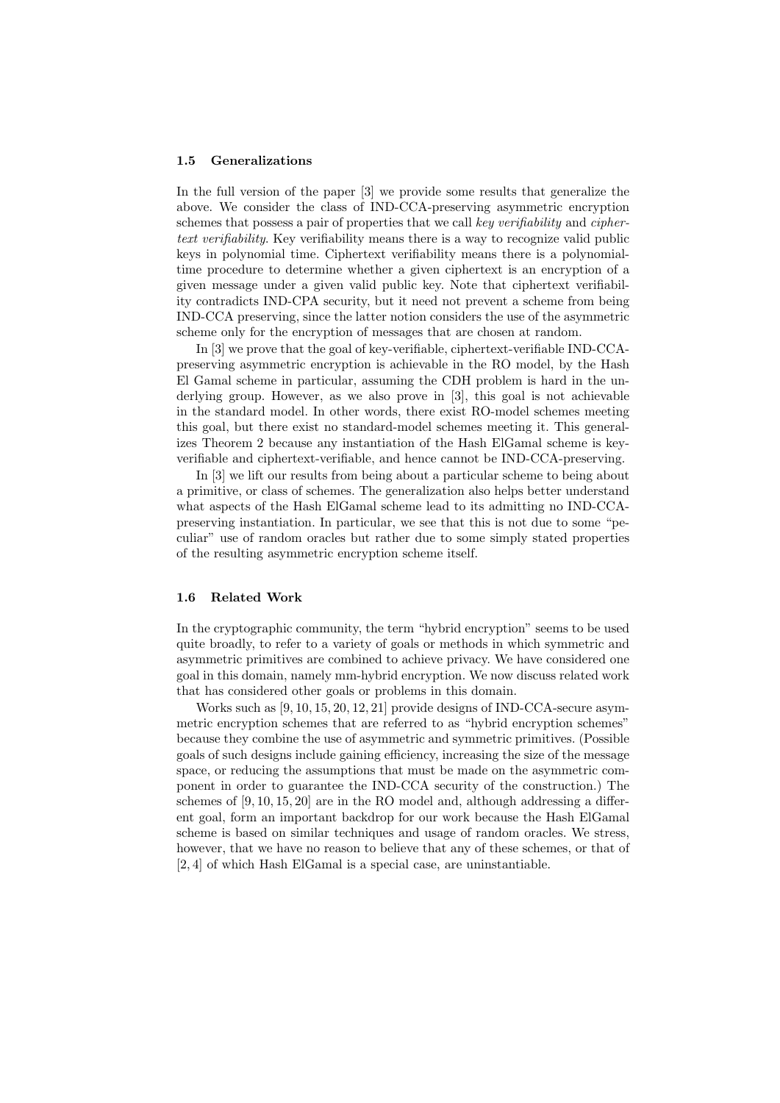#### 1.5 Generalizations

In the full version of the paper [3] we provide some results that generalize the above. We consider the class of IND-CCA-preserving asymmetric encryption schemes that possess a pair of properties that we call key verifiability and ciphertext verifiability. Key verifiability means there is a way to recognize valid public keys in polynomial time. Ciphertext verifiability means there is a polynomialtime procedure to determine whether a given ciphertext is an encryption of a given message under a given valid public key. Note that ciphertext verifiability contradicts IND-CPA security, but it need not prevent a scheme from being IND-CCA preserving, since the latter notion considers the use of the asymmetric scheme only for the encryption of messages that are chosen at random.

In [3] we prove that the goal of key-verifiable, ciphertext-verifiable IND-CCApreserving asymmetric encryption is achievable in the RO model, by the Hash El Gamal scheme in particular, assuming the CDH problem is hard in the underlying group. However, as we also prove in [3], this goal is not achievable in the standard model. In other words, there exist RO-model schemes meeting this goal, but there exist no standard-model schemes meeting it. This generalizes Theorem 2 because any instantiation of the Hash ElGamal scheme is keyverifiable and ciphertext-verifiable, and hence cannot be IND-CCA-preserving.

In [3] we lift our results from being about a particular scheme to being about a primitive, or class of schemes. The generalization also helps better understand what aspects of the Hash ElGamal scheme lead to its admitting no IND-CCApreserving instantiation. In particular, we see that this is not due to some "peculiar" use of random oracles but rather due to some simply stated properties of the resulting asymmetric encryption scheme itself.

#### 1.6 Related Work

In the cryptographic community, the term "hybrid encryption" seems to be used quite broadly, to refer to a variety of goals or methods in which symmetric and asymmetric primitives are combined to achieve privacy. We have considered one goal in this domain, namely mm-hybrid encryption. We now discuss related work that has considered other goals or problems in this domain.

Works such as [9, 10, 15, 20, 12, 21] provide designs of IND-CCA-secure asymmetric encryption schemes that are referred to as "hybrid encryption schemes" because they combine the use of asymmetric and symmetric primitives. (Possible goals of such designs include gaining efficiency, increasing the size of the message space, or reducing the assumptions that must be made on the asymmetric component in order to guarantee the IND-CCA security of the construction.) The schemes of [9, 10, 15, 20] are in the RO model and, although addressing a different goal, form an important backdrop for our work because the Hash ElGamal scheme is based on similar techniques and usage of random oracles. We stress, however, that we have no reason to believe that any of these schemes, or that of [2, 4] of which Hash ElGamal is a special case, are uninstantiable.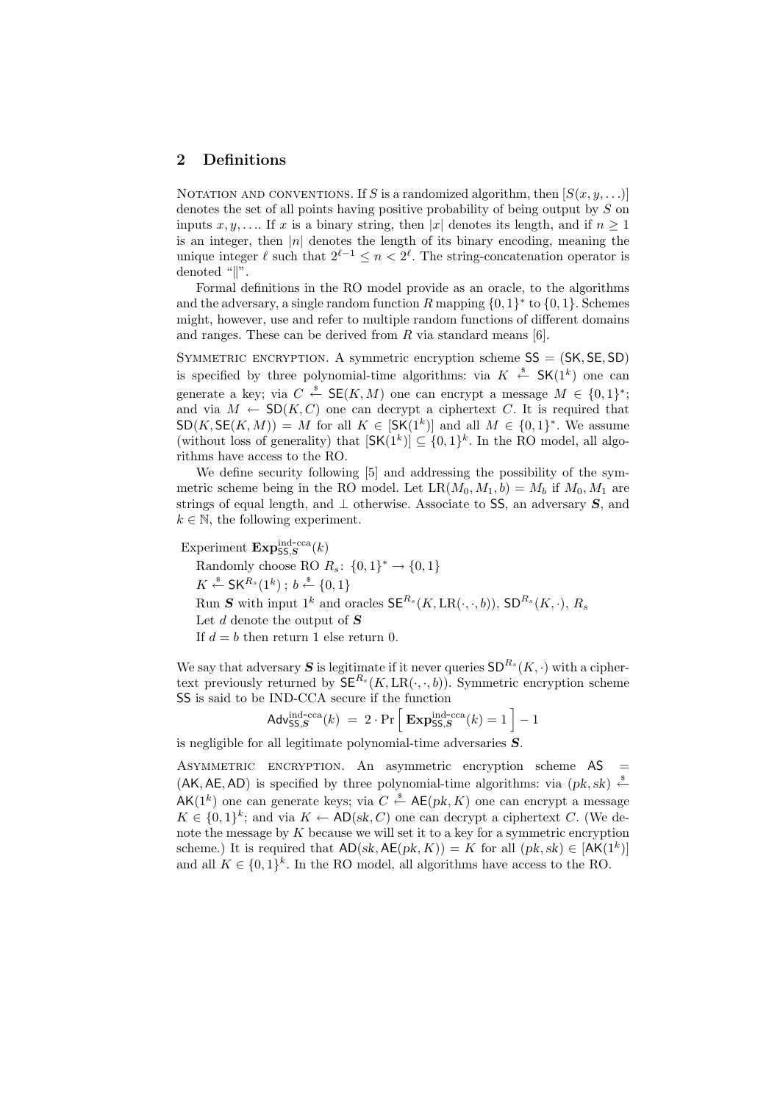# 2 Definitions

NOTATION AND CONVENTIONS. If S is a randomized algorithm, then  $[S(x, y, \ldots)]$ denotes the set of all points having positive probability of being output by S on inputs x, y,.... If x is a binary string, then |x| denotes its length, and if  $n \geq 1$ is an integer, then  $|n|$  denotes the length of its binary encoding, meaning the unique integer  $\ell$  such that  $2^{\ell-1} \leq n < 2^{\ell}$ . The string-concatenation operator is denoted " $\Vert$ ".

Formal definitions in the RO model provide as an oracle, to the algorithms and the adversary, a single random function R mapping  $\{0,1\}^*$  to  $\{0,1\}$ . Schemes might, however, use and refer to multiple random functions of different domains and ranges. These can be derived from  $R$  via standard means [6].

SYMMETRIC ENCRYPTION. A symmetric encryption scheme  $SS = (SK, SE, SD)$ is specified by three polynomial-time algorithms: via  $K \stackrel{\$}{\leftarrow} SK(1^k)$  one can generate a key; via  $C \stackrel{\text{*}}{\leftarrow} \mathsf{SE}(K,M)$  one can encrypt a message  $M \in \{0,1\}^*$ ; and via  $M \leftarrow SD(K, C)$  one can decrypt a ciphertext C. It is required that  $SD(K, SE(K, M)) = M$  for all  $K \in [SK(1<sup>k</sup>)]$  and all  $M \in \{0, 1\}^*$ . We assume (without loss of generality) that  $[\mathsf{SK}(1^k)] \subseteq \{0,1\}^k$ . In the RO model, all algorithms have access to the RO.

We define security following [5] and addressing the possibility of the symmetric scheme being in the RO model. Let  $LR(M_0, M_1, b) = M_b$  if  $M_0, M_1$  are strings of equal length, and  $\perp$  otherwise. Associate to SS, an adversary S, and  $k \in \mathbb{N}$ , the following experiment.

Experiment  $\text{Exp}_{SS,S}^{\text{ind-cca}}(k)$ Randomly choose RO  $R_s$ :  $\{0,1\}^* \rightarrow \{0,1\}$  $K \stackrel{\$}{\leftarrow} \mathsf{SK}^{R_s}(1^k)$ ;  $b \stackrel{\$}{\leftarrow} \{0,1\}$ Run S with input  $1^k$  and oracles  $\mathsf{SE}^{R_s}(K, \text{LR}(\cdot, \cdot, b)), \mathsf{SD}^{R_s}(K, \cdot), R_s$ Let  $d$  denote the output of  $S$ If  $d = b$  then return 1 else return 0.

We say that adversary  $S$  is legitimate if it never queries  $\mathsf{SD}^{R_s}(K, \cdot)$  with a ciphertext previously returned by  $\mathsf{SE}^{R_s}(K, \text{LR}(\cdot, \cdot, b))$ . Symmetric encryption scheme SS is said to be IND-CCA secure if the function

$$
Adv_{SS,S}^{ind-cca}(k) = 2 \cdot Pr \left[ Exp_{SS,S}^{ind-cca}(k) = 1 \right] - 1
$$

is negligible for all legitimate polynomial-time adversaries S.

Asymmetric encryption. An asymmetric encryption scheme AS =  $(AK, AE, AD)$  is specified by three polynomial-time algorithms: via  $(pk, sk) \stackrel{\$}{\leftarrow}$  $AK(1<sup>k</sup>)$  one can generate keys; via  $C \stackrel{\$}{\leftarrow} AE(pk, K)$  one can encrypt a message  $K \in \{0,1\}^k$ ; and via  $K \leftarrow \text{AD}(sk, C)$  one can decrypt a ciphertext C. (We denote the message by  $K$  because we will set it to a key for a symmetric encryption scheme.) It is required that  $AD(sk, AE(pk, K)) = K$  for all  $(pk, sk) \in [AK(1^k)]$ and all  $K \in \{0,1\}^k$ . In the RO model, all algorithms have access to the RO.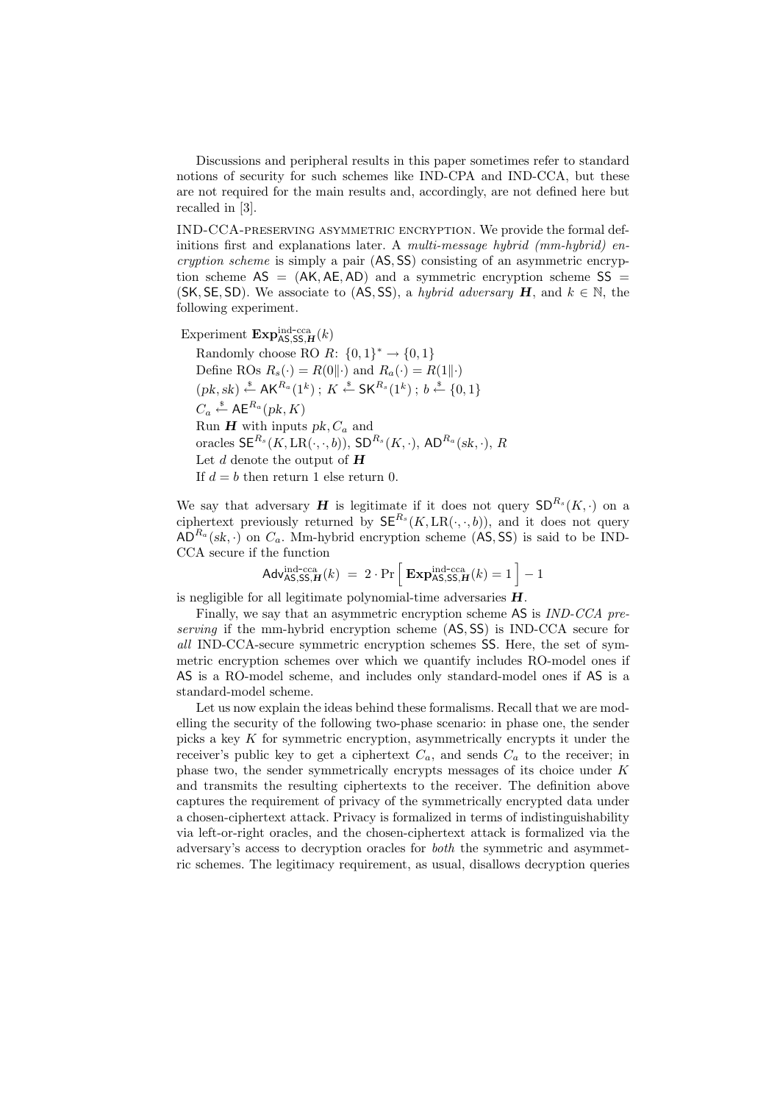Discussions and peripheral results in this paper sometimes refer to standard notions of security for such schemes like IND-CPA and IND-CCA, but these are not required for the main results and, accordingly, are not defined here but recalled in [3].

IND-CCA-preserving asymmetric encryption. We provide the formal definitions first and explanations later. A *multi-message hybrid (mm-hybrid)* encryption scheme is simply a pair (AS, SS) consisting of an asymmetric encryption scheme  $AS = (AK, AE, AD)$  and a symmetric encryption scheme  $SS =$ (SK, SE, SD). We associate to (AS, SS), a hybrid adversary  $H$ , and  $k \in \mathbb{N}$ , the following experiment.

Experiment  $\mathbf{Exp}_{\mathsf{AS},\mathsf{SS},\mathbf{H}}^{\text{ind-cca}}(k)$ 

Randomly choose RO  $R: \{0,1\}^* \rightarrow \{0,1\}$ Define ROs  $R_s(\cdot) = R(0|\cdot)$  and  $R_a(\cdot) = R(1|\cdot)$  $(pk, sk) \xrightarrow{\$} AK^{R_a}(1^k); K \xleftarrow{\$} SK^{R_s}(1^k); b \xleftarrow{\$} \{0, 1\}$  $C_a \stackrel{\$}{\leftarrow} \mathsf{AE}^{R_a}(pk, K)$ Run  $\boldsymbol{H}$  with inputs  $pk$ ,  $C_a$  and oracles  $\mathsf{SE}^{R_s}(K, \mathrm{LR}(\cdot, \cdot, b)), \mathsf{SD}^{R_s}(K, \cdot), \mathsf{AD}^{R_a}(sk, \cdot), R$ Let  $d$  denote the output of  $H$ If  $d = b$  then return 1 else return 0.

We say that adversary **H** is legitimate if it does not query  $SD^{R_s}(K, \cdot)$  on a ciphertext previously returned by  $\mathsf{SE}^{R_s}(K, \text{LR}(\cdot, \cdot, b))$ , and it does not query  $AD^{R_a}(sk, \cdot)$  on  $C_a$ . Mm-hybrid encryption scheme (AS, SS) is said to be IND-CCA secure if the function

$$
Adv_{\mathsf{AS},\mathsf{SS},\mathbf{H}}^{\text{ind-cca}}(k) = 2 \cdot \Pr\left[\mathbf{Exp}_{\mathsf{AS},\mathsf{SS},\mathbf{H}}^{\text{ind-cca}}(k) = 1\right] - 1
$$

is negligible for all legitimate polynomial-time adversaries  $H$ .

Finally, we say that an asymmetric encryption scheme AS is IND-CCA preserving if the mm-hybrid encryption scheme  $(AS, SS)$  is IND-CCA secure for all IND-CCA-secure symmetric encryption schemes SS. Here, the set of symmetric encryption schemes over which we quantify includes RO-model ones if AS is a RO-model scheme, and includes only standard-model ones if AS is a standard-model scheme.

Let us now explain the ideas behind these formalisms. Recall that we are modelling the security of the following two-phase scenario: in phase one, the sender picks a key  $K$  for symmetric encryption, asymmetrically encrypts it under the receiver's public key to get a ciphertext  $C_a$ , and sends  $C_a$  to the receiver; in phase two, the sender symmetrically encrypts messages of its choice under  $K$ and transmits the resulting ciphertexts to the receiver. The definition above captures the requirement of privacy of the symmetrically encrypted data under a chosen-ciphertext attack. Privacy is formalized in terms of indistinguishability via left-or-right oracles, and the chosen-ciphertext attack is formalized via the adversary's access to decryption oracles for *both* the symmetric and asymmetric schemes. The legitimacy requirement, as usual, disallows decryption queries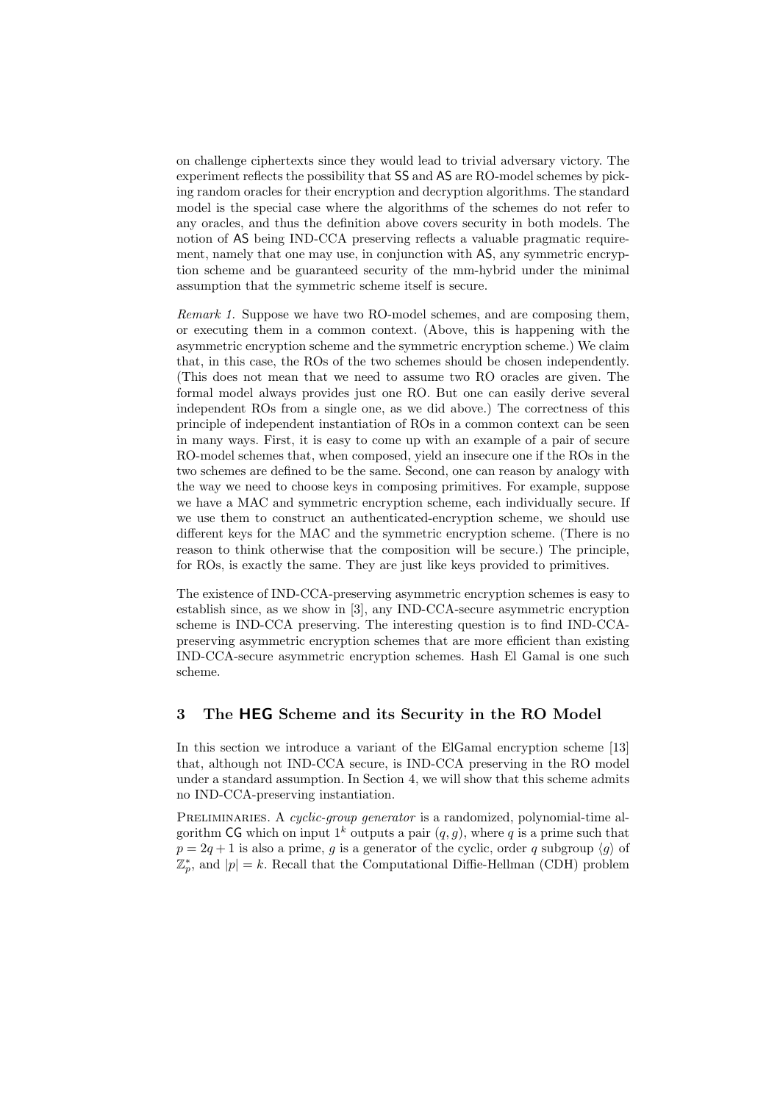on challenge ciphertexts since they would lead to trivial adversary victory. The experiment reflects the possibility that SS and AS are RO-model schemes by picking random oracles for their encryption and decryption algorithms. The standard model is the special case where the algorithms of the schemes do not refer to any oracles, and thus the definition above covers security in both models. The notion of AS being IND-CCA preserving reflects a valuable pragmatic requirement, namely that one may use, in conjunction with AS, any symmetric encryption scheme and be guaranteed security of the mm-hybrid under the minimal assumption that the symmetric scheme itself is secure.

Remark 1. Suppose we have two RO-model schemes, and are composing them, or executing them in a common context. (Above, this is happening with the asymmetric encryption scheme and the symmetric encryption scheme.) We claim that, in this case, the ROs of the two schemes should be chosen independently. (This does not mean that we need to assume two RO oracles are given. The formal model always provides just one RO. But one can easily derive several independent ROs from a single one, as we did above.) The correctness of this principle of independent instantiation of ROs in a common context can be seen in many ways. First, it is easy to come up with an example of a pair of secure RO-model schemes that, when composed, yield an insecure one if the ROs in the two schemes are defined to be the same. Second, one can reason by analogy with the way we need to choose keys in composing primitives. For example, suppose we have a MAC and symmetric encryption scheme, each individually secure. If we use them to construct an authenticated-encryption scheme, we should use different keys for the MAC and the symmetric encryption scheme. (There is no reason to think otherwise that the composition will be secure.) The principle, for ROs, is exactly the same. They are just like keys provided to primitives.

The existence of IND-CCA-preserving asymmetric encryption schemes is easy to establish since, as we show in [3], any IND-CCA-secure asymmetric encryption scheme is IND-CCA preserving. The interesting question is to find IND-CCApreserving asymmetric encryption schemes that are more efficient than existing IND-CCA-secure asymmetric encryption schemes. Hash El Gamal is one such scheme.

# 3 The HEG Scheme and its Security in the RO Model

In this section we introduce a variant of the ElGamal encryption scheme [13] that, although not IND-CCA secure, is IND-CCA preserving in the RO model under a standard assumption. In Section 4, we will show that this scheme admits no IND-CCA-preserving instantiation.

PRELIMINARIES. A cyclic-group generator is a randomized, polynomial-time algorithm CG which on input  $1^k$  outputs a pair  $(q, g)$ , where q is a prime such that  $p = 2q + 1$  is also a prime, q is a generator of the cyclic, order q subgroup  $\langle q \rangle$  of  $\mathbb{Z}_p^*$ , and  $|p| = k$ . Recall that the Computational Diffie-Hellman (CDH) problem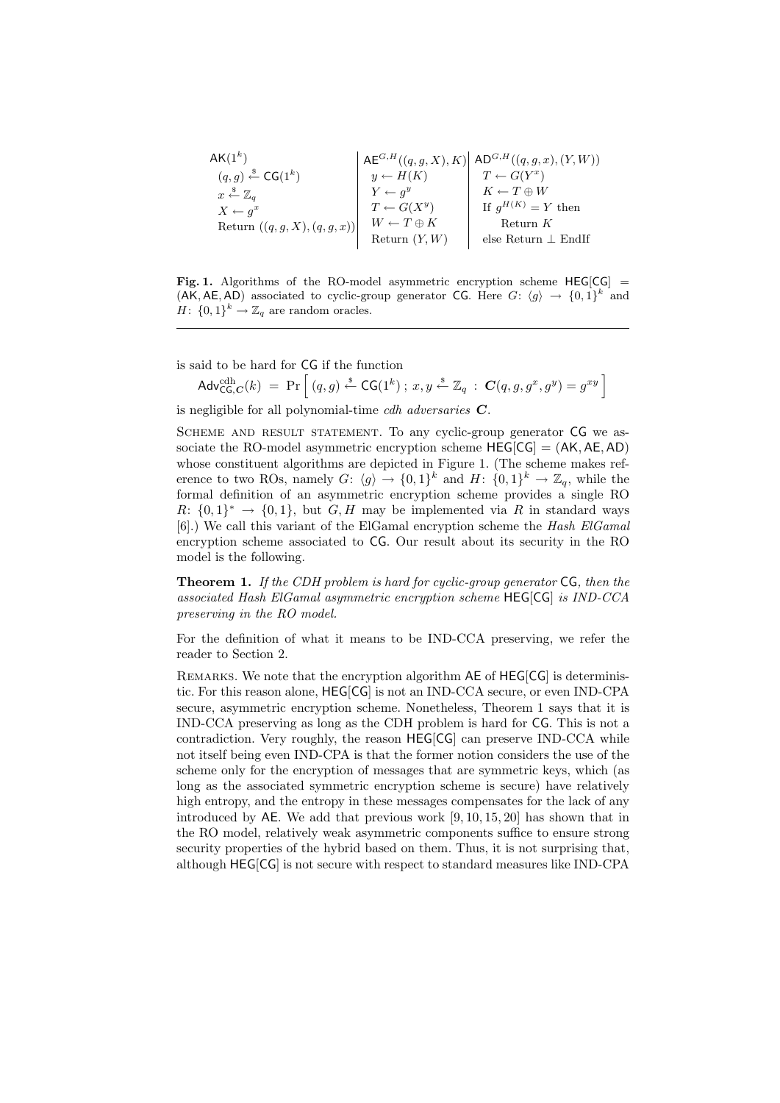$$
\begin{array}{c|c|c|c} \mathsf{AK}(1^k) & & \mathsf{A}\mathsf{E}^{G,H}((q,g,X),K) & \mathsf{AD}^{G,H}((q,g,x),(Y,W))\\ (q,g) \stackrel{\$}{{\leftarrow}} \mathsf{CG}(1^k) & & y \leftarrow H(K) & T \leftarrow G(Y^x)\\ x \stackrel{\$}{{\leftarrow}} \mathbb{Z}_q & & Y \leftarrow g^y & K \leftarrow T \oplus W\\ T \leftarrow G(X^y) & & H(g^{H(K)} = Y \text{ then } \\ \text{Return }((q,g,X),(q,g,x)) & & \text{Return }(Y,W) & & \text{else Return $\perp$ EndIf}\\ \end{array}
$$

Fig. 1. Algorithms of the RO-model asymmetric encryption scheme  $HEG[CG] =$  $(AK, AE, AD)$  associated to cyclic-group generator CG. Here  $G: \langle g \rangle \rightarrow \{0, 1\}^k$  and  $H: \{0,1\}^k \to \mathbb{Z}_q$  are random oracles.

is said to be hard for CG if the function

$$
\mathsf{Adv}^{\mathrm{cdh}}_{\mathsf{CG},\mathbf{C}}(k) = \Pr\left[ (q,g) \stackrel{\hspace{0.1em}\mathsf{\scriptscriptstyle\$}}{\leftarrow} \mathsf{CG}(1^k) \, ; \, x,y \stackrel{\hspace{0.1em}\mathsf{\scriptscriptstyle\$}}{\leftarrow} \mathbb{Z}_q \, : \, \mathbf{C}(q,g,g^x,g^y) = g^{xy} \right]
$$

is negligible for all polynomial-time *cdh adversaries*  $C$ .

SCHEME AND RESULT STATEMENT. To any cyclic-group generator CG we associate the RO-model asymmetric encryption scheme  $\text{HEG}[\text{CG}] = (\text{AK}, \text{AE}, \text{AD})$ whose constituent algorithms are depicted in Figure 1. (The scheme makes reference to two ROs, namely  $G: \langle g \rangle \to \{0,1\}^k$  and  $H: \{0,1\}^k \to \mathbb{Z}_q$ , while the formal definition of an asymmetric encryption scheme provides a single RO R:  $\{0,1\}^* \rightarrow \{0,1\}$ , but  $G, H$  may be implemented via R in standard ways [6].) We call this variant of the ElGamal encryption scheme the Hash ElGamal encryption scheme associated to CG. Our result about its security in the RO model is the following.

Theorem 1. If the CDH problem is hard for cyclic-group generator CG, then the associated Hash ElGamal asymmetric encryption scheme HEG[CG] is IND-CCA preserving in the RO model.

For the definition of what it means to be IND-CCA preserving, we refer the reader to Section 2.

REMARKS. We note that the encryption algorithm AE of HEG[CG] is deterministic. For this reason alone, HEG[CG] is not an IND-CCA secure, or even IND-CPA secure, asymmetric encryption scheme. Nonetheless, Theorem 1 says that it is IND-CCA preserving as long as the CDH problem is hard for CG. This is not a contradiction. Very roughly, the reason HEG[CG] can preserve IND-CCA while not itself being even IND-CPA is that the former notion considers the use of the scheme only for the encryption of messages that are symmetric keys, which (as long as the associated symmetric encryption scheme is secure) have relatively high entropy, and the entropy in these messages compensates for the lack of any introduced by AE. We add that previous work [9, 10, 15, 20] has shown that in the RO model, relatively weak asymmetric components suffice to ensure strong security properties of the hybrid based on them. Thus, it is not surprising that, although HEG[CG] is not secure with respect to standard measures like IND-CPA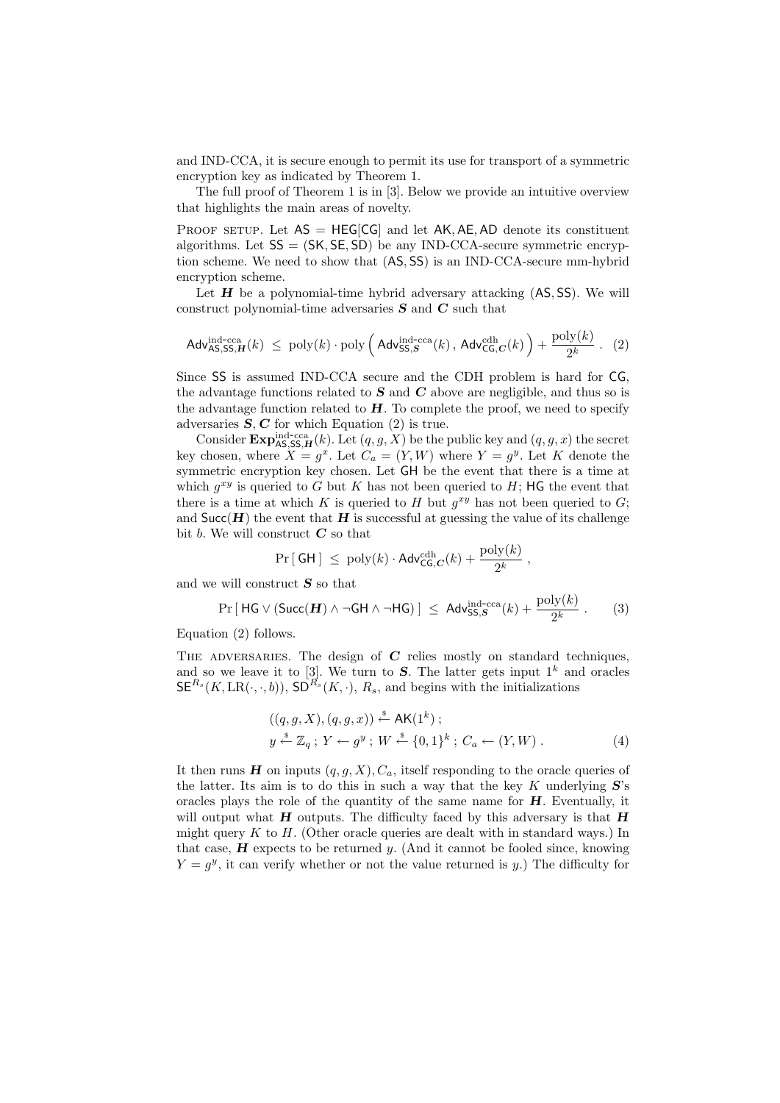and IND-CCA, it is secure enough to permit its use for transport of a symmetric encryption key as indicated by Theorem 1.

The full proof of Theorem 1 is in [3]. Below we provide an intuitive overview that highlights the main areas of novelty.

PROOF SETUP. Let  $AS = HEG[CG]$  and let  $AK, AE, AD$  denote its constituent algorithms. Let  $SS = (SK, SE, SD)$  be any IND-CCA-secure symmetric encryption scheme. We need to show that (AS, SS) is an IND-CCA-secure mm-hybrid encryption scheme.

Let  $H$  be a polynomial-time hybrid adversary attacking  $(AS, SS)$ . We will construct polynomial-time adversaries  $S$  and  $C$  such that

$$
\mathsf{Adv}_{\mathsf{AS},\mathsf{SS},\mathbf{H}}^{\text{ind-cca}}(k) \ \le \ \ \text{poly}(k) \cdot \text{poly}\left(\mathsf{Adv}_{\mathsf{SS},\mathbf{S}}^{\text{ind-cca}}(k)\,,\, \mathsf{Adv}_{\mathsf{CG},\mathbf{C}}^{\text{cdh}}(k)\right) + \frac{\text{poly}(k)}{2^k} \ . \tag{2}
$$

Since SS is assumed IND-CCA secure and the CDH problem is hard for CG, the advantage functions related to  $S$  and  $C$  above are negligible, and thus so is the advantage function related to  $H$ . To complete the proof, we need to specify adversaries  $S, C$  for which Equation (2) is true.

Consider  $\operatorname{Exp}^{\operatorname{ind-cca}}_{\mathsf{AS},\mathsf{SS},\mathbf{H}}(k)$ . Let  $(q,g,X)$  be the public key and  $(q,g,x)$  the secret key chosen, where  $X = g^x$ . Let  $C_a = (Y, W)$  where  $Y = g^y$ . Let K denote the symmetric encryption key chosen. Let GH be the event that there is a time at which  $g^{xy}$  is queried to G but K has not been queried to H; HG the event that there is a time at which K is queried to H but  $g^{xy}$  has not been queried to G; and  $Succ(H)$  the event that H is successful at guessing the value of its challenge bit  $b$ . We will construct  $C$  so that

$$
\Pr[\text{GH}] \le \text{poly}(k) \cdot \text{Adv}^{\text{cdh}}_{\text{CG},C}(k) + \frac{\text{poly}(k)}{2^k} ,
$$

and we will construct  $S$  so that

$$
\Pr\left[\,\mathsf{HG} \vee (\mathsf{Succ}(\boldsymbol{H}) \wedge \neg \mathsf{GH} \wedge \neg \mathsf{HG})\,\right] \,\leq\, \mathsf{Adv}_{\mathsf{SS},\mathbf{S}}^{\mathrm{ind-cca}}(k) + \frac{\mathrm{poly}(k)}{2^k} \,. \tag{3}
$$

Equation (2) follows.

THE ADVERSARIES. The design of  $C$  relies mostly on standard techniques, and so we leave it to [3]. We turn to  $S$ . The latter gets input  $1^k$  and oracles  $\mathsf{SE}^{R_s}(K, \mathrm{LR}(\cdot, \cdot, b)), \mathsf{SD}^{R_s}(K, \cdot), R_s$ , and begins with the initializations

$$
((q, g, X), (q, g, x)) \stackrel{\text{s}}{\leftarrow} AK(1^k) ;
$$
  

$$
y \stackrel{\text{s}}{\leftarrow} \mathbb{Z}_q; Y \leftarrow g^y; W \stackrel{\text{s}}{\leftarrow} \{0, 1\}^k; C_a \leftarrow (Y, W) .
$$
 (4)

It then runs  $H$  on inputs  $(q, g, X), C_a$ , itself responding to the oracle queries of the latter. Its aim is to do this in such a way that the key K underlying  $S$ 's oracles plays the role of the quantity of the same name for  $H$ . Eventually, it will output what  $H$  outputs. The difficulty faced by this adversary is that  $H$ might query K to H. (Other oracle queries are dealt with in standard ways.) In that case,  $\bf{H}$  expects to be returned y. (And it cannot be fooled since, knowing  $Y = g^y$ , it can verify whether or not the value returned is y.) The difficulty for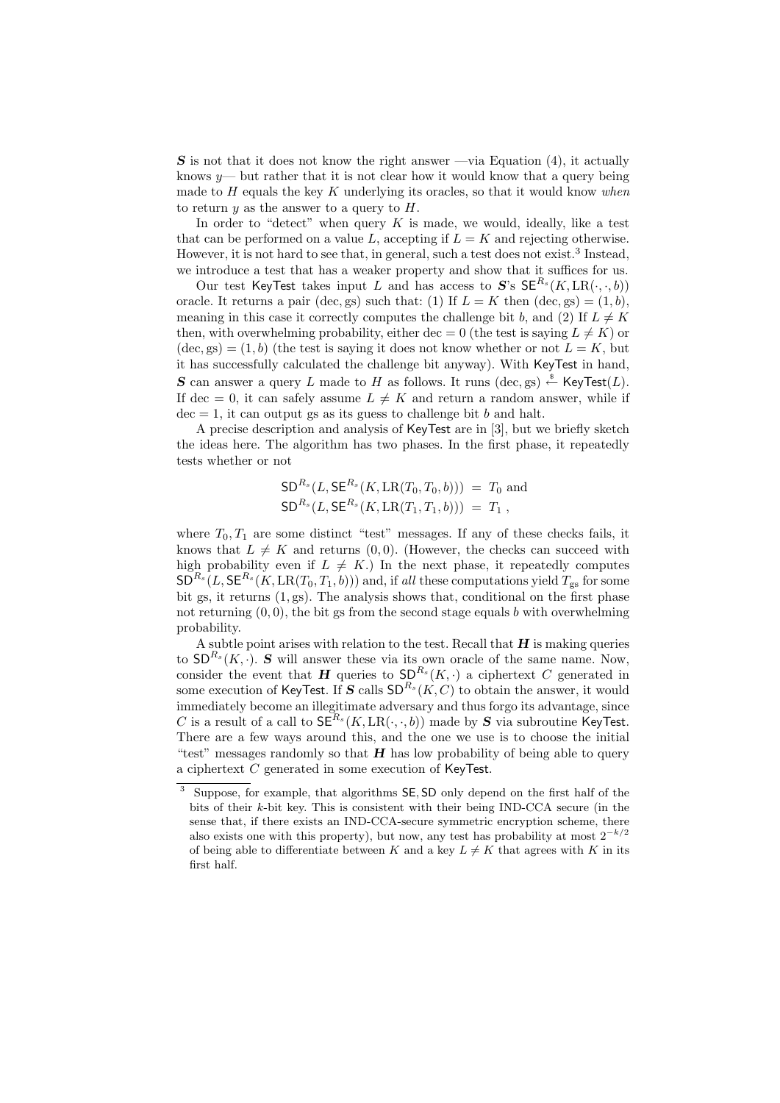$S$  is not that it does not know the right answer —via Equation (4), it actually knows  $y$ — but rather that it is not clear how it would know that a query being made to  $H$  equals the key  $K$  underlying its oracles, so that it would know when to return  $y$  as the answer to a query to  $H$ .

In order to "detect" when query  $K$  is made, we would, ideally, like a test that can be performed on a value L, accepting if  $L = K$  and rejecting otherwise. However, it is not hard to see that, in general, such a test does not exist.<sup>3</sup> Instead, we introduce a test that has a weaker property and show that it suffices for us.

Our test KeyTest takes input L and has access to S's  $\mathbf{S} \in \mathbb{R}^{\mathbb{R}_s}(K, \text{LR}(\cdot, \cdot, b))$ oracle. It returns a pair (dec, gs) such that: (1) If  $L = K$  then (dec, gs) = (1, b), meaning in this case it correctly computes the challenge bit b, and (2) If  $L \neq K$ then, with overwhelming probability, either dec = 0 (the test is saying  $L \neq K$ ) or  $(dec, gs) = (1, b)$  (the test is saying it does not know whether or not  $L = K$ , but it has successfully calculated the challenge bit anyway). With KeyTest in hand, **S** can answer a query L made to H as follows. It runs (dec, gs)  $\stackrel{\$}{\leftarrow}$  KeyTest(L). If dec = 0, it can safely assume  $L \neq K$  and return a random answer, while if  $dec = 1$ , it can output gs as its guess to challenge bit b and halt.

A precise description and analysis of KeyTest are in [3], but we briefly sketch the ideas here. The algorithm has two phases. In the first phase, it repeatedly tests whether or not

$$
SD^{R_s}(L, SE^{R_s}(K, \text{LR}(T_0, T_0, b))) = T_0 \text{ and}
$$
  

$$
SD^{R_s}(L, SE^{R_s}(K, \text{LR}(T_1, T_1, b))) = T_1,
$$

where  $T_0, T_1$  are some distinct "test" messages. If any of these checks fails, it knows that  $L \neq K$  and returns  $(0, 0)$ . (However, the checks can succeed with high probability even if  $L \neq K$ .) In the next phase, it repeatedly computes  $SD^{R_s}(L, SE^{R_s}(K, \text{LR}(T_0, T_1, b)))$  and, if all these computations yield  $T_{gs}$  for some bit gs, it returns (1, gs). The analysis shows that, conditional on the first phase not returning  $(0, 0)$ , the bit gs from the second stage equals b with overwhelming probability.

A subtle point arises with relation to the test. Recall that  $H$  is making queries to  $SD^{R_s}(K, \cdot)$ . S will answer these via its own oracle of the same name. Now, consider the event that **H** queries to  $SD^{R_s}(K, \cdot)$  a ciphertext C generated in some execution of KeyTest. If S calls  $SD^{R_s}(K,C)$  to obtain the answer, it would immediately become an illegitimate adversary and thus forgo its advantage, since C is a result of a call to  $\mathsf{SE}^{R_s}(K, \text{LR}(\cdot, \cdot, b))$  made by S via subroutine KeyTest. There are a few ways around this, and the one we use is to choose the initial "test" messages randomly so that  $H$  has low probability of being able to query a ciphertext  $C$  generated in some execution of  $KeyTest$ .

<sup>3</sup> Suppose, for example, that algorithms SE, SD only depend on the first half of the bits of their k-bit key. This is consistent with their being IND-CCA secure (in the sense that, if there exists an IND-CCA-secure symmetric encryption scheme, there also exists one with this property), but now, any test has probability at most  $2^{-k/2}$ of being able to differentiate between K and a key  $L \neq K$  that agrees with K in its first half.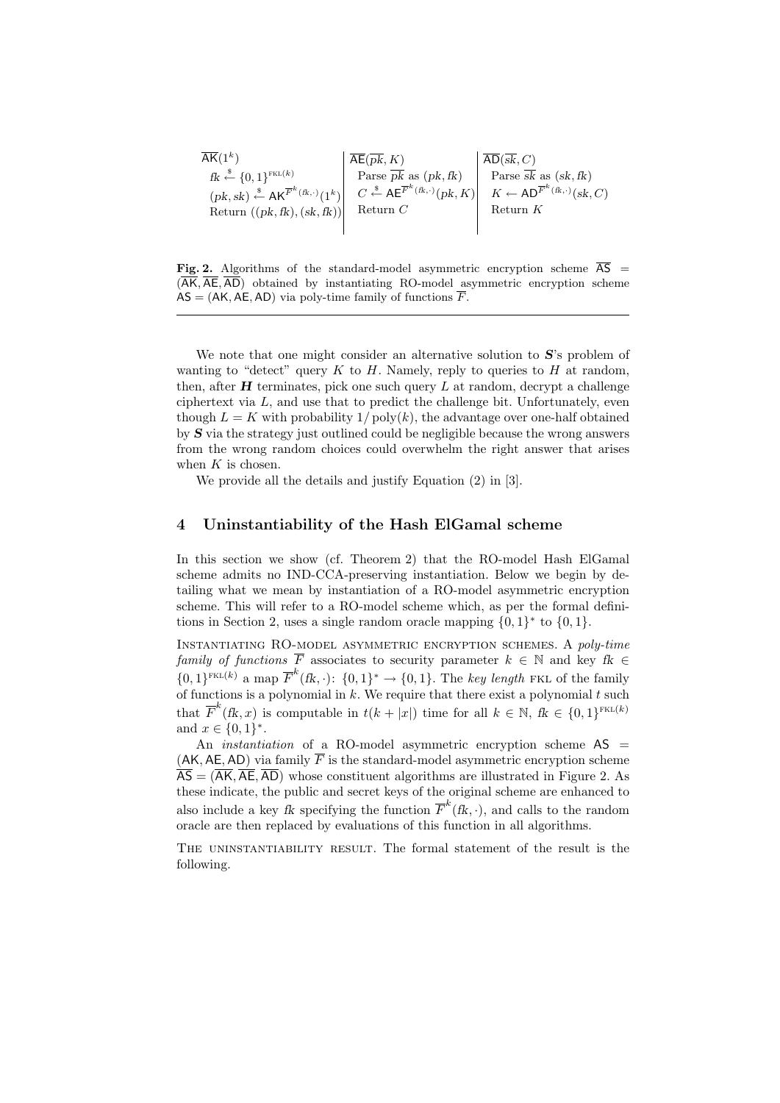$$
\begin{array}{c|c|c|c|c} \overline{\mathsf{AK}}(1^k) & & & \overline{\mathsf{AE}}(\overline{pk},K) & & & \overline{\mathsf{AD}}(\overline{sk},C) \\ \hline \text{fk} & \xleftarrow{\$} \{0,1\}^{\text{FKL}(k)} & & \text{Parse } \overline{pk} \text{ as } (pk,fk) & & \text{Parse } \overline{sk} \text{ as } (sk,fk) \\ (pk, sk) & \xleftarrow{\$} \mathsf{AK}^{\overline{F}^k(k,\cdot)}(1^k) & & C & \xleftarrow{\$} \mathsf{AE}^{\overline{F}^k(k,\cdot)}(pk,K) & & K \leftarrow \mathsf{AD}^{\overline{F}^k(k,\cdot)}(sk,C) \\ \hline \text{Return } ((pk,fk), (sk,fk)) & & \text{Return } C & & \text{Return } K \end{array}
$$

Fig. 2. Algorithms of the standard-model asymmetric encryption scheme  $\overline{AS}$  =  $(\overline{AK},\overline{AE},\overline{AD})$  obtained by instantiating RO-model asymmetric encryption scheme  $AS = (AK, AE, AD)$  via poly-time family of functions  $\overline{F}$ .

We note that one might consider an alternative solution to S's problem of wanting to "detect" query K to H. Namely, reply to queries to H at random, then, after  $H$  terminates, pick one such query  $L$  at random, decrypt a challenge ciphertext via  $L$ , and use that to predict the challenge bit. Unfortunately, even though  $L = K$  with probability  $1/\text{poly}(k)$ , the advantage over one-half obtained by  $S$  via the strategy just outlined could be negligible because the wrong answers from the wrong random choices could overwhelm the right answer that arises when  $K$  is chosen.

We provide all the details and justify Equation (2) in [3].

### 4 Uninstantiability of the Hash ElGamal scheme

In this section we show (cf. Theorem 2) that the RO-model Hash ElGamal scheme admits no IND-CCA-preserving instantiation. Below we begin by detailing what we mean by instantiation of a RO-model asymmetric encryption scheme. This will refer to a RO-model scheme which, as per the formal definitions in Section 2, uses a single random oracle mapping  $\{0,1\}^*$  to  $\{0,1\}$ .

Instantiating RO-model asymmetric encryption schemes. A poly-time family of functions  $\overline{F}$  associates to security parameter  $k \in \mathbb{N}$  and key fk  $\in$  $\{0,1\}^{FKL(k)}$  a map  $\overline{F}^k(fk, \cdot): \{0,1\}^* \to \{0,1\}$ . The key length FKL of the family of functions is a polynomial in k. We require that there exist a polynomial t such that  $\overline{F}^k(fk, x)$  is computable in  $t(k + |x|)$  time for all  $k \in \mathbb{N}$ ,  $f_k \in \{0, 1\}^{FKL(k)}$ and  $x \in \{0, 1\}^*$ .

An *instantiation* of a RO-model asymmetric encryption scheme  $AS =$  $(AK, AE, AD)$  via family  $\overline{F}$  is the standard-model asymmetric encryption scheme  $\overline{\mathsf{AS}} = (\overline{\mathsf{AK}}, \overline{\mathsf{AE}}, \overline{\mathsf{AD}})$  whose constituent algorithms are illustrated in Figure 2. As these indicate, the public and secret keys of the original scheme are enhanced to also include a key fk specifying the function  $\overline{F}^k(fk, \cdot)$ , and calls to the random oracle are then replaced by evaluations of this function in all algorithms.

The uninstantiability result. The formal statement of the result is the following.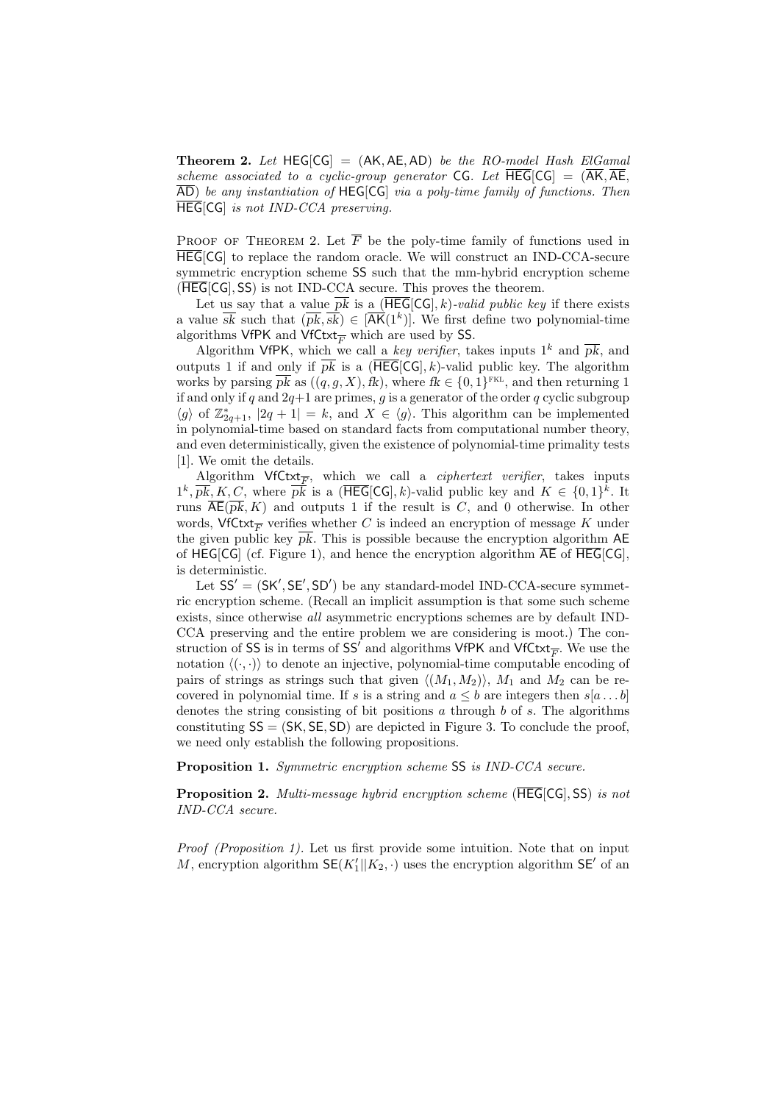**Theorem 2.** Let  $HEG[CG] = (AK, AE, AD)$  be the RO-model Hash ElGamal scheme associated to a cyclic-group generator  $CG$ . Let HEG[CG] =  $(AK, AE,$  $\overline{AD}$ ) be any instantiation of HEG[CG] via a poly-time family of functions. Then HEG[CG] is not IND-CCA preserving.

PROOF OF THEOREM 2. Let  $\overline{F}$  be the poly-time family of functions used in HEG[CG] to replace the random oracle. We will construct an IND-CCA-secure symmetric encryption scheme SS such that the mm-hybrid encryption scheme (HEG[CG], SS) is not IND-CCA secure. This proves the theorem.

Let us say that a value  $\overline{pk}$  is a ( $\overline{\text{HEG}}[CG], k$ )-valid public key if there exists a value  $\overline{sk}$  such that  $(\overline{pk}, \overline{sk}) \in [\overline{AK}(1^k)]$ . We first define two polynomial-time algorithms VfPK and VfCtxt<sub>F</sub> which are used by SS.

Algorithm VfPK, which we call a key verifier, takes inputs  $1^k$  and  $\overline{pk}$ , and outputs 1 if and only if  $\overline{pk}$  is a ( $\overline{\text{HEG}}[CG], k$ )-valid public key. The algorithm works by parsing  $\overline{pk}$  as  $((q, g, X), \hat{fk})$ , where  $\hat{fk} \in \{0, 1\}^{\text{FKL}}$ , and then returning 1 if and only if q and  $2q+1$  are primes, q is a generator of the order q cyclic subgroup  $\langle g \rangle$  of  $\mathbb{Z}_{2q+1}^*$ ,  $|2q+1| = k$ , and  $X \in \langle g \rangle$ . This algorithm can be implemented in polynomial-time based on standard facts from computational number theory, and even deterministically, given the existence of polynomial-time primality tests [1]. We omit the details.

Algorithm VfCt $x_{\overline{F}}$ , which we call a *ciphertext verifier*, takes inputs  $1^k$ ,  $\overline{pk}$ ,  $K$ ,  $C$ , where  $\overline{pk}$  is a (**HEG**[CG], k)-valid public key and  $K \in \{0,1\}^k$ . It runs  $\overline{AE}(\overline{pk}, K)$  and outputs 1 if the result is C, and 0 otherwise. In other words,  $\mathsf{VfCtxt_\mathit{F}}$  verifies\_whether  $C$  is indeed an encryption of message  $K$  under the given public key  $\overline{pk}$ . This is possible because the encryption algorithm AE of HEG[CG] (cf. Figure 1), and hence the encryption algorithm  $\overline{AE}$  of  $\overline{HEG}[CG]$ , is deterministic.

Let  $SS' = (SK', SE', SD')$  be any standard-model IND-CCA-secure symmetric encryption scheme. (Recall an implicit assumption is that some such scheme exists, since otherwise all asymmetric encryptions schemes are by default IND-CCA preserving and the entire problem we are considering is moot.) The construction of SS is in terms of SS<sup>'</sup> and algorithms VfPK and VfCtxt<sub>F</sub>. We use the notation  $\langle \cdot, \cdot \rangle$  to denote an injective, polynomial-time computable encoding of pairs of strings as strings such that given  $\langle (M_1, M_2) \rangle$ ,  $M_1$  and  $M_2$  can be recovered in polynomial time. If s is a string and  $a \leq b$  are integers then  $s[a \dots b]$ denotes the string consisting of bit positions  $a$  through  $b$  of  $s$ . The algorithms constituting  $SS = (SK, SE, SD)$  are depicted in Figure 3. To conclude the proof, we need only establish the following propositions.

Proposition 1. Symmetric encryption scheme SS is IND-CCA secure.

**Proposition 2.** Multi-message hybrid encryption scheme ( $\overline{\text{HEG}}[CG], SS$ ) is not IND-CCA secure.

Proof (Proposition 1). Let us first provide some intuition. Note that on input M, encryption algorithm  $\mathsf{SE}(K_1'||K_2, \cdot)$  uses the encryption algorithm  $\mathsf{SE}'$  of an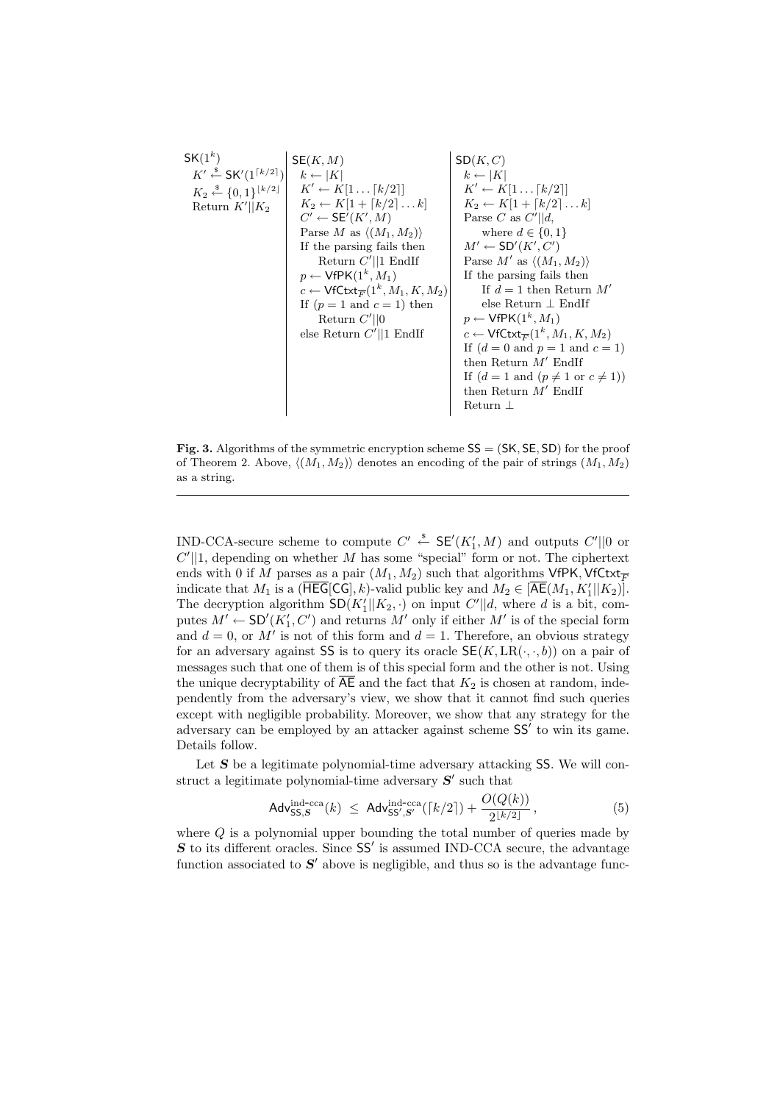$$
SK(1k)
$$
  
\n
$$
K' \stackrel{\text{d}}{\leftarrow} \text{SK}'(1^{[k/2]}\)
$$
  
\n
$$
K_2 \stackrel{\text{d}}{\leftarrow} \{0,1\}^{[k/2]}\
$$
  
\n
$$
K' \leftarrow K[1 \dots [k/2]]
$$
  
\n
$$
K' \leftarrow K[1 \dots [k/2]]
$$
  
\n
$$
K' \leftarrow K[1 + [k/2] \dots k]
$$
  
\n
$$
C' \leftarrow \text{SE}'(K', M)
$$
  
\n
$$
C' \leftarrow \text{SE}'(K', M)
$$
  
\n
$$
P
$$
  
\n
$$
P
$$
  
\n
$$
C' \leftarrow \text{SE}'(K', M)
$$
  
\n
$$
P
$$
  
\n
$$
C' \leftarrow \text{SE}'(K', M)
$$
  
\n
$$
P
$$
  
\n
$$
P
$$
  
\n
$$
C' \leftarrow \text{SE}'(K', M)
$$
  
\n
$$
P
$$
  
\n
$$
P
$$
  
\n
$$
S' \leftarrow K[1 + [k/2] \dots k]
$$
  
\n
$$
S' \leftarrow K[1 \dots [k/2]]
$$
  
\n
$$
K_2 \leftarrow K[1 + [k/2] \dots k]
$$
  
\n
$$
S' \leftarrow K[1 \dots [k/2]]
$$
  
\n
$$
S' \leftarrow K[1 \dots [k/2]]
$$
  
\n
$$
S' \leftarrow K[1 \dots [k/2]]
$$
  
\n
$$
S' \leftarrow K[1 \dots [k/2]]
$$
  
\n
$$
S' \leftarrow K[1 \dots [k/2]]
$$
  
\n
$$
P
$$
  
\n
$$
P
$$
  
\n
$$
P
$$
  
\n
$$
P
$$
  
\n
$$
P
$$
  
\n
$$
P
$$
  
\n
$$
P
$$
  
\n
$$
P
$$
  
\n
$$
P
$$
  
\n
$$
P
$$
  
\n
$$
P
$$

**Fig. 3.** Algorithms of the symmetric encryption scheme  $SS = (SK, SE, SD)$  for the proof of Theorem 2. Above,  $\langle (M_1, M_2) \rangle$  denotes an encoding of the pair of strings  $(M_1, M_2)$ as a string.

IND-CCA-secure scheme to compute  $C' \stackrel{\hspace{0.1em}\mathsf{\scriptscriptstyle\$}}{\leftarrow} \mathsf{SE}'(K'_1,M)$  and outputs  $C'||0$  or  $C'$ ||1, depending on whether M has some "special" form or not. The ciphertext ends with 0 if M parses as a pair  $(M_1, M_2)$  such that algorithms VfPK, VfCtxt $_{\overline{F}}$ indicate that  $M_1$  is a ( $\overline{\mathsf{HEG}}[\mathsf{CG}], k$ )-valid public key and  $M_2 \in [\overline{\mathsf{AE}}(M_1, K_1'||K_2)].$ The decryption algorithm  $SD(K_1'||K_2, \cdot)$  on input  $C'||d$ , where d is a bit, computes  $M' \leftarrow SD'(K_1', C')$  and returns  $M'$  only if either  $M'$  is of the special form and  $d = 0$ , or M' is not of this form and  $d = 1$ . Therefore, an obvious strategy for an adversary against SS is to query its oracle  $SE(K, LR(\cdot, \cdot, b))$  on a pair of messages such that one of them is of this special form and the other is not. Using the unique decryptability of  $\overline{AE}$  and the fact that  $K_2$  is chosen at random, independently from the adversary's view, we show that it cannot find such queries except with negligible probability. Moreover, we show that any strategy for the adversary can be employed by an attacker against scheme  $SS'$  to win its game. Details follow.

Let  $S$  be a legitimate polynomial-time adversary attacking  $SS$ . We will construct a legitimate polynomial-time adversary  $S'$  such that

$$
\mathsf{Adv}_{\mathsf{SS},\mathbf{S}}^{\mathrm{ind-cca}}(k) \leq \mathsf{Adv}_{\mathsf{SS}',\mathbf{S}'}^{\mathrm{ind-cca}}([k/2]) + \frac{O(Q(k))}{2^{\lfloor k/2 \rfloor}},\tag{5}
$$

where  $Q$  is a polynomial upper bounding the total number of queries made by  $S$  to its different oracles. Since  $SS'$  is assumed IND-CCA secure, the advantage function associated to  $S'$  above is negligible, and thus so is the advantage func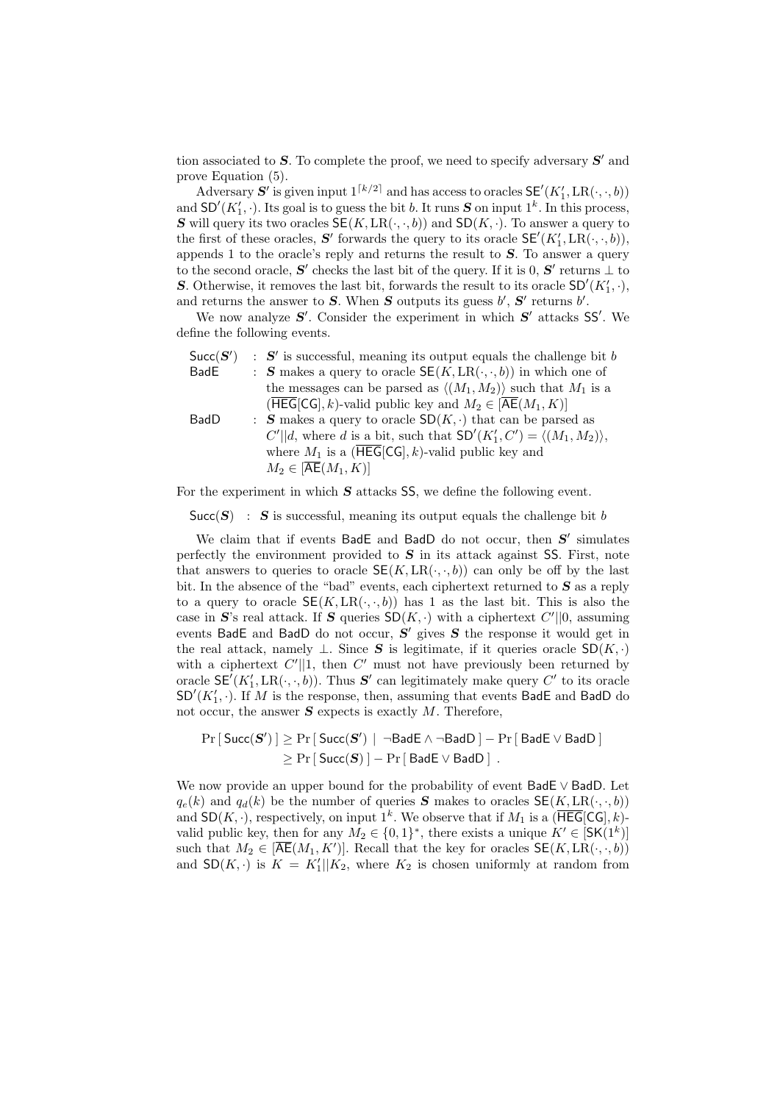tion associated to  $S$ . To complete the proof, we need to specify adversary  $S'$  and prove Equation (5).

Adversary  $S'$  is given input  $1^{\lceil k/2 \rceil}$  and has access to oracles  $\mathsf{SE}'(K'_1, \mathsf{LR}(\cdot, \cdot, b))$ and  $SD'(K'_1, \cdot)$ . Its goal is to guess the bit b. It runs S on input  $1^k$ . In this process, **S** will query its two oracles  $\mathsf{SE}(K, \mathrm{LR}(\cdot, \cdot, b))$  and  $\mathsf{SD}(K, \cdot)$ . To answer a query to the first of these oracles,  $S'$  forwards the query to its oracle  $\mathsf{SE}'(K'_1, \text{LR}(\cdot, \cdot, b)),$ appends 1 to the oracle's reply and returns the result to  $S$ . To answer a query to the second oracle, S' checks the last bit of the query. If it is 0, S' returns  $\perp$  to **S**. Otherwise, it removes the last bit, forwards the result to its oracle  $SD'(K'_1, \cdot)$ , and returns the answer to S. When S outputs its guess  $b'$ , S' returns  $b'$ .

We now analyze  $S'$ . Consider the experiment in which  $S'$  attacks  $SS'$ . We define the following events.

| Succ(S') | $\therefore$ S' is successful, meaning its output equals the challenge bit b         |
|----------|--------------------------------------------------------------------------------------|
| BadE     | : S makes a query to oracle $SE(K,LR(\cdot,\cdot,b))$ in which one of                |
|          | the messages can be parsed as $\langle (M_1, M_2) \rangle$ such that $M_1$ is a      |
|          | $(HEG[CG], k)$ -valid public key and $M_2 \in [AE(M_1, K)]$                          |
| BadD     | : S makes a query to oracle $SD(K, \cdot)$ that can be parsed as                     |
|          | $C'  d$ , where d is a bit, such that $SD'(K'_1, C') = \langle (M_1, M_2) \rangle$ , |
|          | where $M_1$ is a (HEG[CG], k)-valid public key and                                   |
|          | $M_2 \in [AE(M_1, K)]$                                                               |

For the experiment in which  $S$  attacks  $SS$ , we define the following event.

 $Succ(S)$ : S is successful, meaning its output equals the challenge bit b

We claim that if events  $BadE$  and  $BadD$  do not occur, then  $S'$  simulates perfectly the environment provided to  $S$  in its attack against SS. First, note that answers to queries to oracle  $\mathsf{SE}(K, \mathrm{LR}(\cdot, \cdot, b))$  can only be off by the last bit. In the absence of the "bad" events, each ciphertext returned to  $S$  as a reply to a query to oracle  $\mathsf{SE}(K, \mathrm{LR}(\cdot, \cdot, b))$  has 1 as the last bit. This is also the case in S's real attack. If S queries  $SD(K, \cdot)$  with a ciphertext  $C'||0$ , assuming events BadE and BadD do not occur,  $S'$  gives  $S$  the response it would get in the real attack, namely  $\perp$ . Since S is legitimate, if it queries oracle  $SD(K, \cdot)$ with a ciphertext  $C'$  ||1, then  $C'$  must not have previously been returned by oracle  $\mathsf{SE}'(K'_1, \text{LR}(\cdot, \cdot, b))$ . Thus  $\mathbf{S}'$  can legitimately make query  $C'$  to its oracle  $SD'(K'_1, \cdot)$ . If M is the response, then, assuming that events BadE and BadD do not occur, the answer  $S$  expects is exactly  $M$ . Therefore,

 $\Pr[\text{Succ}(\boldsymbol{S}')] \geq \Pr[\text{Succ}(\boldsymbol{S}') \mid \neg \text{BadE} \land \neg \text{BadD} \mid - \Pr[\text{BadE} \lor \text{BadD} \mid$  $\geq \Pr[\text{Succ}(\bm{S})] - \Pr[\text{BadE} \vee \text{BadD}]$ .

We now provide an upper bound for the probability of event BadE ∨ BadD. Let  $q_e(k)$  and  $q_d(k)$  be the number of queries S makes to oracles  $\mathsf{SE}(K, \text{LR}(\cdot, \cdot, b))$ and  $SD(K, \cdot)$ , respectively, on input  $1^k$ . We observe that if  $M_1$  is a  $(\overline{\text{HEG}}[CG], k)$ valid public key, then for any  $M_2 \in \{0,1\}^*$ , there exists a unique  $K' \in [SK(1^k)]$ such that  $M_2 \in [\overline{\mathsf{AE}}(M_1, K')]$ . Recall that the key for oracles  $\mathsf{SE}(K, \mathsf{LR}(\cdot, \cdot, b))$ and  $SD(K, \cdot)$  is  $K = K_1'||K_2$ , where  $K_2$  is chosen uniformly at random from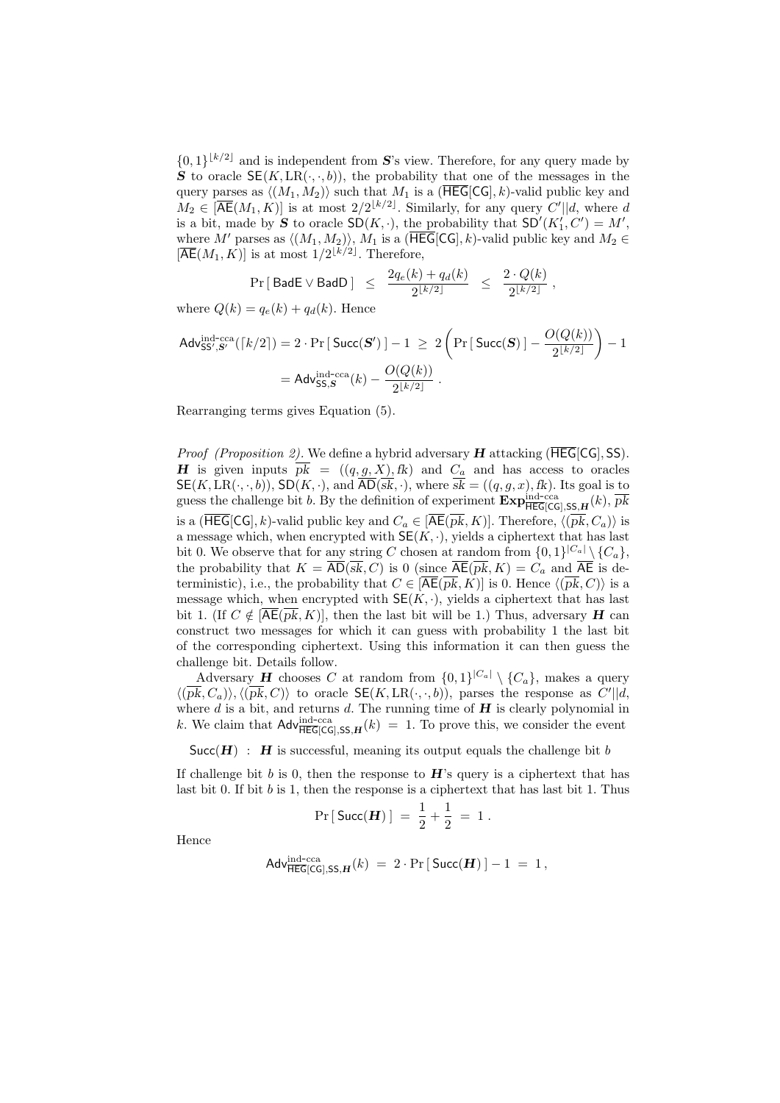$\{0,1\}^{\lfloor k/2 \rfloor}$  and is independent from S's view. Therefore, for any query made by **S** to oracle  $\mathsf{SE}(K, \mathrm{LR}(\cdot, \cdot, b))$ , the probability that one of the messages in the query parses as  $\langle (M_1, M_2) \rangle$  such that  $M_1$  is a ( $\overline{\text{HEG}}[\text{CG}], k$ )-valid public key and  $M_2 \in \left[ \overline{\mathsf{AE}}(M_1, K) \right]$  is at most  $2/2^{\lfloor k/2 \rfloor}$ . Similarly, for any query  $C' || d$ , where d is a bit, made by **S** to oracle  $SD(K, \cdot)$ , the probability that  $SD'(K'_1, C') = M'$ , where M' parses as  $\langle (M_1, M_2) \rangle$ ,  $M_1$  is a ( $\overline{\text{HEG}}[\text{CG}], k$ )-valid public key and  $M_2 \in$  $[\overline{\mathsf{AE}}(M_1, K)]$  is at most  $1/2^{\lfloor k/2 \rfloor}$ . Therefore,

$$
\Pr\left[\,\textsf{BadE}\vee\textsf{BadD}\,\right] \;\;\leq\;\; \frac{2q_e(k)+q_d(k)}{2^{\lfloor k/2 \rfloor}}\;\;\leq\;\; \frac{2\cdot Q(k)}{2^{\lfloor k/2 \rfloor}}
$$

,

where  $Q(k) = q_e(k) + q_d(k)$ . Hence

$$
\begin{aligned} \mathsf{Adv}_{\mathsf{SS}',\mathsf{S}'}^{\mathrm{ind}\text{-}\mathrm{cca}}([k/2]) &= 2 \cdot \Pr\left[\text{Succ}(\mathbf{S}')\right] - 1 \ge 2 \left(\Pr\left[\text{Succ}(\mathbf{S})\right] - \frac{O(Q(k))}{2^{\lfloor k/2 \rfloor}}\right) - 1 \\ &= \mathsf{Adv}_{\mathsf{SS},\mathsf{S}}^{\mathrm{ind}\text{-}\mathrm{cca}}(k) - \frac{O(Q(k))}{2^{\lfloor k/2 \rfloor}} \ .\end{aligned}
$$

Rearranging terms gives Equation (5).

*Proof (Proposition 2).* We define a hybrid adversary  $H$  attacking ( $\overline{\text{HEG}}$  [CG], SS). **H** is given inputs  $pk = ((q, g, X), fk)$  and  $C_a$  and has access to oracles  $\mathsf{SE}(K, \mathrm{LR}(\cdot, \cdot, b))$ ,  $\mathsf{SD}(K, \cdot)$ , and  $\mathsf{AD}(sk, \cdot)$ , where  $sk = ((q, g, x), fk)$ . Its goal is to guess the challenge bit b. By the definition of experiment  $\mathbf{Exp}_{\mathsf{HEG}[\mathsf{CG}], \mathsf{SS}, \mathbf{H}}^{ind\text{-}\mathrm{cca}}(k)$ ,  $pk$ is a ( $\overline{\textsf{HEG}}[\textsf{CG}], k$ )-valid public key and  $C_a \in [\overline{\textsf{AE}}(\overline{pk}, K)]$ . Therefore,  $\langle (\overline{pk}, C_a) \rangle$  is a message which, when encrypted with  $\mathsf{SE}(K, \cdot)$ , yields a ciphertext that has last bit 0. We observe that for any string C chosen at random from  $\{0,1\}^{|C_a|} \setminus \{C_a\}$ , the probability that  $K = \overline{AD}(\overline{sk}, C)$  is 0 (since  $\overline{AE}(\overline{pk}, K) = C_a$  and  $\overline{AE}$  is deterministic), i.e., the probability that  $C \in \overline{AE(\overline{pk}, K)}$  is 0. Hence  $\langle (\overline{pk}, C) \rangle$  is a message which, when encrypted with  $SE(K, \cdot)$ , yields a ciphertext that has last bit 1. (If  $C \notin \overline{AE(pk, K)}$ , then the last bit will be 1.) Thus, adversary **H** can construct two messages for which it can guess with probability 1 the last bit of the corresponding ciphertext. Using this information it can then guess the challenge bit. Details follow.

Adversary **H** chooses C at random from  $\{0,1\}^{|C_a|} \setminus \{C_a\}$ , makes a query  $\langle \langle \overline{pk}, C_a \rangle \rangle, \langle \langle \overline{pk}, C \rangle \rangle$  to oracle  $\mathsf{SE}(K, \text{LR}(\cdot, \cdot, b)),$  parses the response as  $C' || d$ , where  $d$  is a bit, and returns  $d$ . The running time of  $H$  is clearly polynomial in k. We claim that  $\mathsf{Adv}_{\overline{\mathsf{HEG}}[CG],SS,H}^{ind-cca}(k) = 1$ . To prove this, we consider the event

 $Succ(H)$ : H is successful, meaning its output equals the challenge bit b

If challenge bit b is 0, then the response to  $\bf{H}$ 's query is a ciphertext that has last bit 0. If bit b is 1, then the response is a ciphertext that has last bit 1. Thus

$$
Pr [Succ(\boldsymbol{H})] = \frac{1}{2} + \frac{1}{2} = 1.
$$

Hence

$$
\mathsf{Adv}_{\overline{\mathsf{HEG}}[\mathsf{CG}], \mathsf{SS}, \mathbf{H}}^{\mathsf{ind-cca}}(k) \; = \; 2 \cdot \Pr\left[\, \mathsf{Succ}(\mathbf{H}) \, \right] - 1 \; = \; 1 \, ,
$$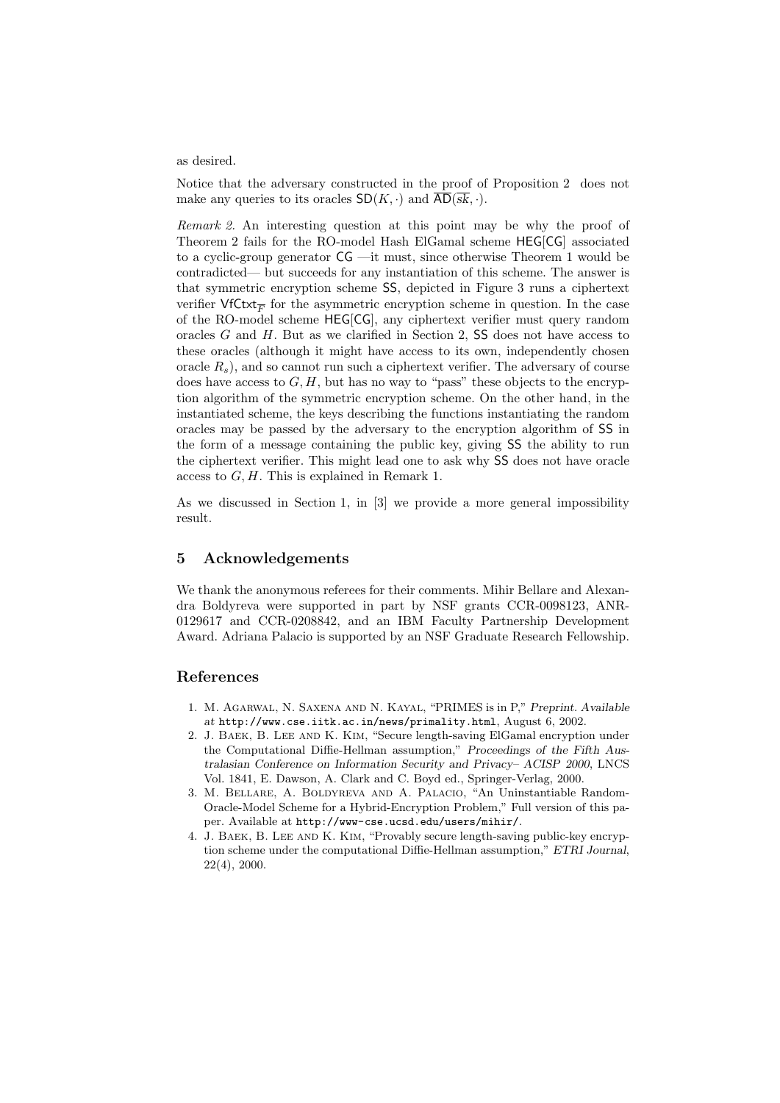as desired.

Notice that the adversary constructed in the proof of Proposition 2 does not make any queries to its oracles  $SD(K, \cdot)$  and  $\overline{AD}(\overline{sk}, \cdot)$ .

Remark 2. An interesting question at this point may be why the proof of Theorem 2 fails for the RO-model Hash ElGamal scheme HEG[CG] associated to a cyclic-group generator CG —it must, since otherwise Theorem 1 would be contradicted— but succeeds for any instantiation of this scheme. The answer is that symmetric encryption scheme SS, depicted in Figure 3 runs a ciphertext verifier  $\mathsf{VfCtxt}_{\overline{F}}$  for the asymmetric encryption scheme in question. In the case of the RO-model scheme HEG[CG], any ciphertext verifier must query random oracles  $G$  and  $H$ . But as we clarified in Section 2,  $SS$  does not have access to these oracles (although it might have access to its own, independently chosen oracle  $R_s$ ), and so cannot run such a ciphertext verifier. The adversary of course does have access to  $G, H$ , but has no way to "pass" these objects to the encryption algorithm of the symmetric encryption scheme. On the other hand, in the instantiated scheme, the keys describing the functions instantiating the random oracles may be passed by the adversary to the encryption algorithm of SS in the form of a message containing the public key, giving SS the ability to run the ciphertext verifier. This might lead one to ask why SS does not have oracle access to G, H. This is explained in Remark 1.

As we discussed in Section 1, in [3] we provide a more general impossibility result.

# 5 Acknowledgements

We thank the anonymous referees for their comments. Mihir Bellare and Alexandra Boldyreva were supported in part by NSF grants CCR-0098123, ANR-0129617 and CCR-0208842, and an IBM Faculty Partnership Development Award. Adriana Palacio is supported by an NSF Graduate Research Fellowship.

### References

- 1. M. Agarwal, N. Saxena and N. Kayal, "PRIMES is in P," Preprint. Available  $at$ http://www.cse.iitk.ac.in/news/primality.html, August 6, 2002.
- 2. J. Baek, B. Lee and K. Kim, "Secure length-saving ElGamal encryption under the Computational Diffie-Hellman assumption," Proceedings of the Fifth Australasian Conference on Information Security and Privacy– ACISP 2000, LNCS Vol. 1841, E. Dawson, A. Clark and C. Boyd ed., Springer-Verlag, 2000.
- 3. M. Bellare, A. Boldyreva and A. Palacio, "An Uninstantiable Random-Oracle-Model Scheme for a Hybrid-Encryption Problem," Full version of this paper. Available at http://www-cse.ucsd.edu/users/mihir/.
- 4. J. Baek, B. Lee and K. Kim, "Provably secure length-saving public-key encryption scheme under the computational Diffie-Hellman assumption," ETRI Journal, 22(4), 2000.